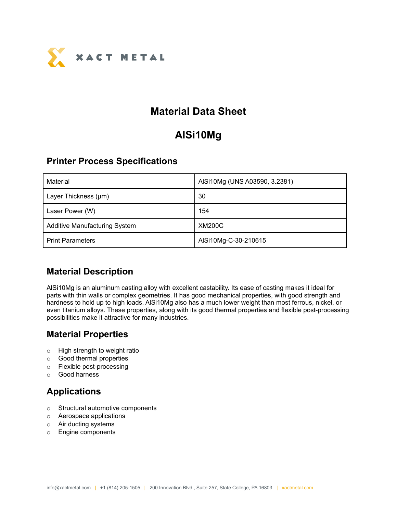

## **Material Data Sheet**

# **AlSi10Mg**

#### **Printer Process Specifications**

| Material                             | AlSi10Mg (UNS A03590, 3.2381) |
|--------------------------------------|-------------------------------|
| Layer Thickness (µm)                 | 30                            |
| Laser Power (W)                      | 154                           |
| <b>Additive Manufacturing System</b> | <b>XM200C</b>                 |
| <b>Print Parameters</b>              | AlSi10Mg-C-30-210615          |

### **Material Description**

AlSi10Mg is an aluminum casting alloy with excellent castability. Its ease of casting makes it ideal for parts with thin walls or complex geometries. It has good mechanical properties, with good strength and hardness to hold up to high loads. AlSi10Mg also has a much lower weight than most ferrous, nickel, or even titanium alloys. These properties, along with its good thermal properties and flexible post-processing possibilities make it attractive for many industries.

### **Material Properties**

- o High strength to weight ratio
- o Good thermal properties
- o Flexible post-processing
- o Good harness

### **Applications**

- o Structural automotive components
- o Aerospace applications
- o Air ducting systems
- o Engine components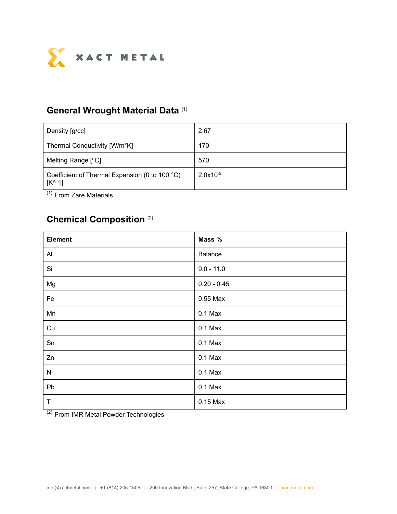

#### **General Wrought Material Data** (1)

| Density [g/cc]                                                       | 2.67          |
|----------------------------------------------------------------------|---------------|
| Thermal Conductivity [W/m*K]                                         | 170           |
| Melting Range [°C]                                                   | 570           |
| Coefficient of Thermal Expansion (0 to 100 °C)<br>$ K^{\wedge} - 1 $ | $2.0x10^{-5}$ |

(1) From Zare Materials

### **Chemical Composition** (2)

| <b>Element</b> | Mass %        |
|----------------|---------------|
| $\mathsf{A}$   | Balance       |
| Si             | $9.0 - 11.0$  |
| Mg             | $0.20 - 0.45$ |
| Fe             | 0.55 Max      |
| Mn             | $0.1$ Max     |
| Cu             | $0.1$ Max     |
| Sn             | $0.1$ Max     |
| Zn             | $0.1$ Max     |
| Ni             | $0.1$ Max     |
| Pb             | $0.1$ Max     |
| Ti             | 0.15 Max      |

<sup>(2)</sup> From IMR Metal Powder Technologies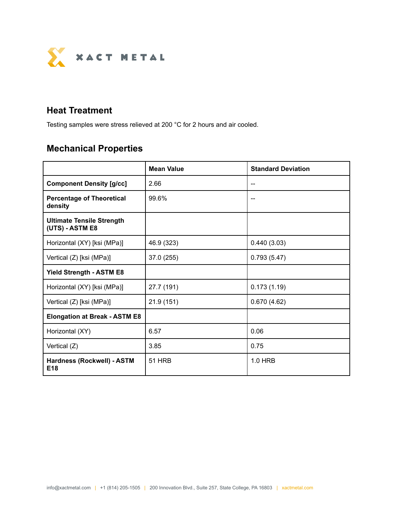

### **Heat Treatment**

Testing samples were stress relieved at 200 °C for 2 hours and air cooled.

## **Mechanical Properties**

|                                                     | <b>Mean Value</b> | <b>Standard Deviation</b> |  |
|-----------------------------------------------------|-------------------|---------------------------|--|
| <b>Component Density [g/cc]</b>                     | 2.66              |                           |  |
| <b>Percentage of Theoretical</b><br>density         | 99.6%             |                           |  |
| <b>Ultimate Tensile Strength</b><br>(UTS) - ASTM E8 |                   |                           |  |
| Horizontal (XY) [ksi (MPa)]                         | 46.9 (323)        | 0.440(3.03)               |  |
| Vertical (Z) [ksi (MPa)]                            | 37.0 (255)        | 0.793(5.47)               |  |
| <b>Yield Strength - ASTM E8</b>                     |                   |                           |  |
| Horizontal (XY) [ksi (MPa)]                         | 27.7 (191)        | 0.173(1.19)               |  |
| Vertical (Z) [ksi (MPa)]                            | 21.9(151)         | 0.670(4.62)               |  |
| <b>Elongation at Break - ASTM E8</b>                |                   |                           |  |
| Horizontal (XY)                                     | 6.57              | 0.06                      |  |
| Vertical (Z)                                        | 3.85              | 0.75                      |  |
| Hardness (Rockwell) - ASTM<br>E <sub>18</sub>       | <b>51 HRB</b>     | 1.0 HRB                   |  |